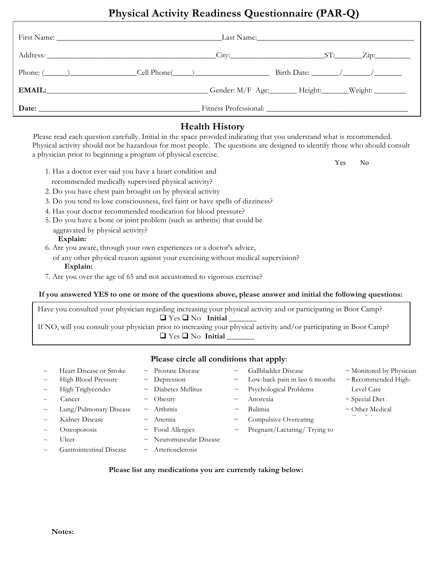# **Physical Activity Readiness Questionnaire (PAR-Q)**

|                                                                                                                                                                                                                                                                                                                                                                                                                          | Last Name: 1988 and 1988 and 1988 and 1988 and 1988 and 1988 and 1988 and 1988 and 1988 and 1988 and 1988 and 1 |
|--------------------------------------------------------------------------------------------------------------------------------------------------------------------------------------------------------------------------------------------------------------------------------------------------------------------------------------------------------------------------------------------------------------------------|-----------------------------------------------------------------------------------------------------------------|
|                                                                                                                                                                                                                                                                                                                                                                                                                          |                                                                                                                 |
| Phone: $\frac{1}{\sqrt{1-\frac{1}{2}}}\frac{1}{\sqrt{1-\frac{1}{2}}}\frac{1}{\sqrt{1-\frac{1}{2}}}\frac{1}{\sqrt{1-\frac{1}{2}}}\frac{1}{\sqrt{1-\frac{1}{2}}}\frac{1}{\sqrt{1-\frac{1}{2}}}\frac{1}{\sqrt{1-\frac{1}{2}}}\frac{1}{\sqrt{1-\frac{1}{2}}}\frac{1}{\sqrt{1-\frac{1}{2}}}\frac{1}{\sqrt{1-\frac{1}{2}}}\frac{1}{\sqrt{1-\frac{1}{2}}}\frac{1}{\sqrt{1-\frac{1}{2}}}\frac{1}{\sqrt{1-\frac{1}{2}}}\frac{1}{$ |                                                                                                                 |
| EMAIL: Weight: Windows Gender: M/F Age: Height: Weight: Weight:                                                                                                                                                                                                                                                                                                                                                          |                                                                                                                 |
|                                                                                                                                                                                                                                                                                                                                                                                                                          |                                                                                                                 |

## **Health History**

Please read each question carefully. Initial in the space provided indicating that you understand what is recommended. Physical activity should not be hazardous for most people. The questions are designed to identify those who should consult a physician prior to beginning a program of physical exercise.

- 1. Has a doctor ever said you have a heart condition and recommended medically supervised physical activity?
- 2. Do you have chest pain brought on by physical activity
- 3. Do you tend to lose consciousness, feel faint or have spells of dizziness?
- 4. Has your doctor recommended medication for blood pressure?
- 5. Do you have a bone or joint problem (such as arthritis) that could be aggravated by physical activity?

#### **Explain:**

Home

- 6. Are you aware, through your own experiences or a doctor's advice,
	- of any other physical reason against your exercising without medical supervision? **Explain:**
- 7. Are you over the age of 65 and not accustomed to vigorous exercise?

### **If you answered YES to one or more of the questions above, please answer and initial the following questions:**

Have you consulted your physician regarding increasing your physical activity and or participating in Boot Camp?  $\Box$  Yes  $\Box$  No Initial If NO, will you consult your physician prior to increasing your physical activity and/or participating in Boot Camp? ■ Yes ■ No **Initial** 

## **Please circle all conditions that apply**:

| $\sim\,$ | Heart Disease or Stroke  | $\sim$ Prostate Disease      | $\sim$      | Gallbladder Disease            | $\sim$ Monitored by Physician |
|----------|--------------------------|------------------------------|-------------|--------------------------------|-------------------------------|
| $\sim$   | High Blood Pressure      | $\sim$ Depression            | $\sim$      | Low-back pain in last 6 months | $\sim$ Recommended High-      |
| $\sim$   | High Triglycerides       | $\sim$ Diabetes Mellitus     | $\sim$      | Psychological Problems         | Level Care                    |
| $\sim$   | Cancer                   | $\sim$ Obesity               | $\sim$      | Anorexia                       | $\sim$ Special Diet           |
| $\sim$   | Lung/Pulmonary Disease   | $\sim$ Arthritis             | $\sim$      | Bulimia                        | $\sim$ Other Medical          |
| $\sim$   | Kidney Disease           | $~\sim~$ Anemia              | $\sim$      | Compulsive Overeating          |                               |
| $\sim\,$ | Osteoporosis             | $\sim$ Food Allergies        | $\thicksim$ | Pregnant/Lactating/ Trying to  |                               |
| $\sim$   | Ulcer                    | $\sim$ Neuromuscular Disease |             |                                |                               |
| $\sim\,$ | Gastrointestinal Disease | $\sim$ Arteriosclerosis      |             |                                |                               |

### **Please list any medications you are currently taking below:**

**The Second Second Second Second Second Second Second Second Second Second Second Second Second Second Second Second Second Second Second Second Second Second Second Second Second Second Second Second Second Second Second**